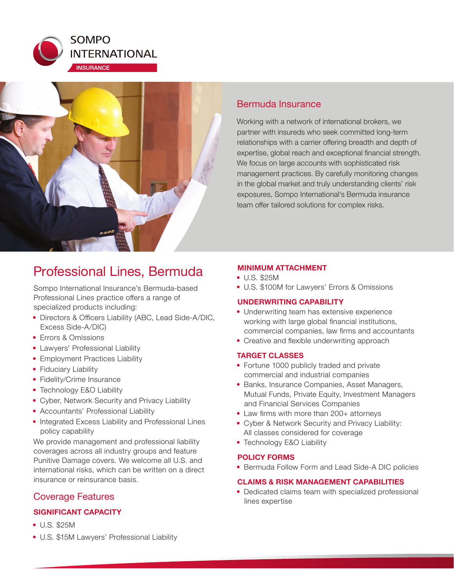



# Professional Lines, Bermuda

Sompo International Insurance's Bermuda-based Professional Lines practice offers a range of specialized products including:

- Directors & Officers Liability (ABC, Lead Side-A/DIC, Excess Side-A/DIC)
- Errors & Omissions
- Lawyers' Professional Liability
- Employment Practices Liability
- Fiduciary Liability
- Fidelity/Crime Insurance
- Technology E&O Liability
- Cyber, Network Security and Privacy Liability
- Accountants' Professional Liability
- Integrated Excess Liability and Professional Lines policy capability

We provide management and professional liability coverages across all industry groups and feature Punitive Damage covers. We welcome all U.S. and international risks, which can be written on a direct insurance or reinsurance basis.

# Coverage Features

### **SIGNIFICANT CAPACITY**

- U.S. \$25M
- U.S. \$15M Lawyers' Professional Liability

# Bermuda Insurance

Working with a network of international brokers, we partner with insureds who seek committed long-term relationships with a carrier offering breadth and depth of expertise, global reach and exceptional financial strength. We focus on large accounts with sophisticated risk management practices. By carefully monitoring changes in the global market and truly understanding clients' risk exposures, Sompo International's Bermuda insurance team offer tailored solutions for complex risks.

#### **MINIMUM ATTACHMENT**

- U.S. \$25M
- U.S. \$100M for Lawyers' Errors & Omissions

#### **UNDERWRITING CAPABILITY**

- Underwriting team has extensive experience working with large global financial institutions, commercial companies, law firms and accountants
- Creative and flexible underwriting approach

#### **TARGET CLASSES**

- Fortune 1000 publicly traded and private commercial and industrial companies
- Banks, Insurance Companies, Asset Managers, Mutual Funds, Private Equity, Investment Managers and Financial Services Companies
- Law firms with more than 200+ attorneys
- Cyber & Network Security and Privacy Liability: All classes considered for coverage
- Technology E&O Liability

#### **POLICY FORMS**

• Bermuda Follow Form and Lead Side-A DIC policies

#### **CLAIMS & RISK MANAGEMENT CAPABILITIES**

• Dedicated claims team with specialized professional lines expertise